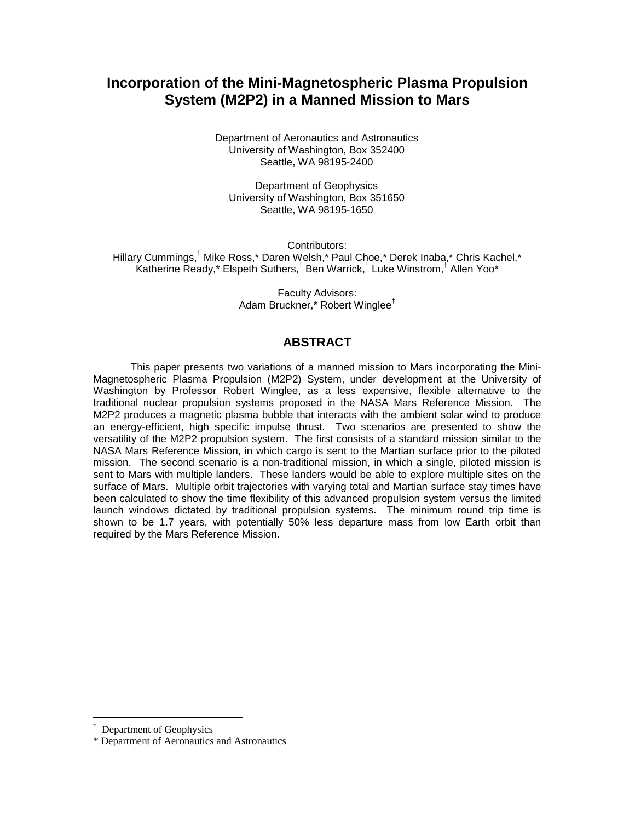# **Incorporation of the Mini-Magnetospheric Plasma Propulsion System (M2P2) in a Manned Mission to Mars**

Department of Aeronautics and Astronautics University of Washington, Box 352400 Seattle, WA 98195-2400

Department of Geophysics University of Washington, Box 351650 Seattle, WA 98195-1650

Contributors: Hillary Cummings,† Mike Ross,\* Daren Welsh,\* Paul Choe,\* Derek Inaba,\* Chris Kachel,\* Katherine Ready,\* Elspeth Suthers,<sup>†</sup> Ben Warrick,<sup>†</sup> Luke Winstrom,<sup>†</sup> Allen Yoo\*

> Faculty Advisors: Adam Bruckner,\* Robert Winglee†

# **ABSTRACT**

This paper presents two variations of a manned mission to Mars incorporating the Mini-Magnetospheric Plasma Propulsion (M2P2) System, under development at the University of Washington by Professor Robert Winglee, as a less expensive, flexible alternative to the traditional nuclear propulsion systems proposed in the NASA Mars Reference Mission. The M2P2 produces a magnetic plasma bubble that interacts with the ambient solar wind to produce an energy-efficient, high specific impulse thrust. Two scenarios are presented to show the versatility of the M2P2 propulsion system. The first consists of a standard mission similar to the NASA Mars Reference Mission, in which cargo is sent to the Martian surface prior to the piloted mission. The second scenario is a non-traditional mission, in which a single, piloted mission is sent to Mars with multiple landers. These landers would be able to explore multiple sites on the surface of Mars. Multiple orbit trajectories with varying total and Martian surface stay times have been calculated to show the time flexibility of this advanced propulsion system versus the limited launch windows dictated by traditional propulsion systems. The minimum round trip time is shown to be 1.7 years, with potentially 50% less departure mass from low Earth orbit than required by the Mars Reference Mission.

 $\overline{a}$ 

<sup>†</sup> Department of Geophysics

<sup>\*</sup> Department of Aeronautics and Astronautics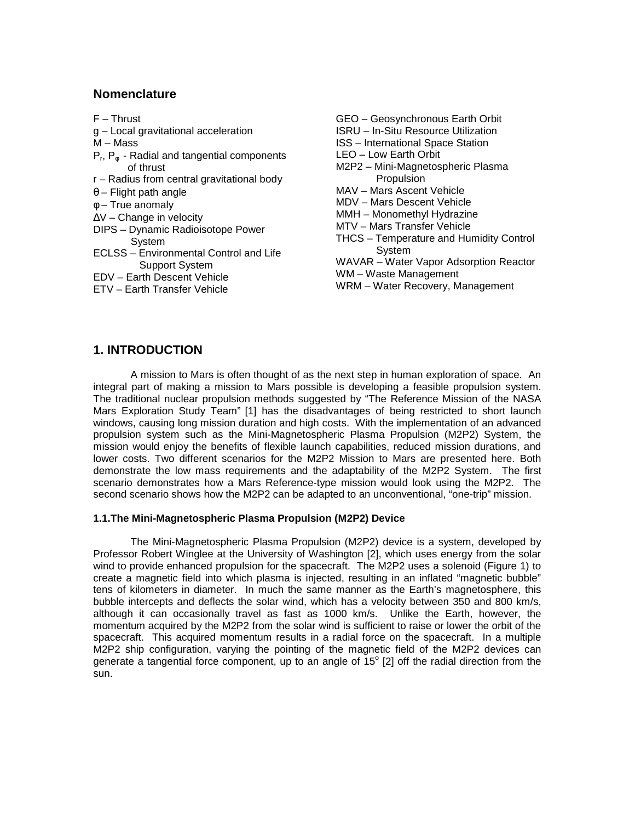### **Nomenclature**

- F Thrust
- g Local gravitational acceleration
- M Mass
- $P_r$ ,  $P_\phi$  Radial and tangential components of thrust
- r Radius from central gravitational body
- $\theta$  Flight path angle
- φ True anomaly
- ∆V Change in velocity
- DIPS Dynamic Radioisotope Power System
- ECLSS Environmental Control and Life Support System
- EDV Earth Descent Vehicle
- ETV Earth Transfer Vehicle
- GEO Geosynchronous Earth Orbit
- ISRU In-Situ Resource Utilization
- ISS International Space Station
- LEO Low Earth Orbit
- M2P2 Mini-Magnetospheric Plasma **Propulsion**
- MAV Mars Ascent Vehicle
- MDV Mars Descent Vehicle
- MMH Monomethyl Hydrazine
- MTV Mars Transfer Vehicle
- THCS Temperature and Humidity Control System
- WAVAR Water Vapor Adsorption Reactor
- WM Waste Management
- WRM Water Recovery, Management

# **1. INTRODUCTION**

 A mission to Mars is often thought of as the next step in human exploration of space. An integral part of making a mission to Mars possible is developing a feasible propulsion system. The traditional nuclear propulsion methods suggested by "The Reference Mission of the NASA Mars Exploration Study Team" [1] has the disadvantages of being restricted to short launch windows, causing long mission duration and high costs. With the implementation of an advanced propulsion system such as the Mini-Magnetospheric Plasma Propulsion (M2P2) System, the mission would enjoy the benefits of flexible launch capabilities, reduced mission durations, and lower costs. Two different scenarios for the M2P2 Mission to Mars are presented here. Both demonstrate the low mass requirements and the adaptability of the M2P2 System. The first scenario demonstrates how a Mars Reference-type mission would look using the M2P2. The second scenario shows how the M2P2 can be adapted to an unconventional, "one-trip" mission.

#### **1.1.The Mini-Magnetospheric Plasma Propulsion (M2P2) Device**

The Mini-Magnetospheric Plasma Propulsion (M2P2) device is a system, developed by Professor Robert Winglee at the University of Washington [2], which uses energy from the solar wind to provide enhanced propulsion for the spacecraft. The M2P2 uses a solenoid (Figure 1) to create a magnetic field into which plasma is injected, resulting in an inflated "magnetic bubble" tens of kilometers in diameter. In much the same manner as the Earth's magnetosphere, this bubble intercepts and deflects the solar wind, which has a velocity between 350 and 800 km/s, although it can occasionally travel as fast as 1000 km/s. Unlike the Earth, however, the momentum acquired by the M2P2 from the solar wind is sufficient to raise or lower the orbit of the spacecraft. This acquired momentum results in a radial force on the spacecraft. In a multiple M2P2 ship configuration, varying the pointing of the magnetic field of the M2P2 devices can generate a tangential force component, up to an angle of  $15^{\circ}$  [2] off the radial direction from the sun.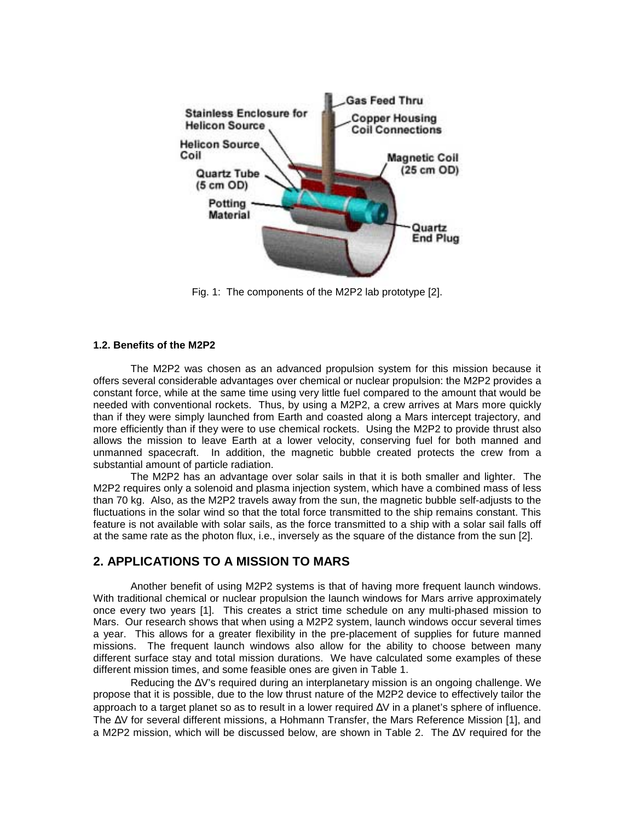

Fig. 1: The components of the M2P2 lab prototype [2].

#### **1.2. Benefits of the M2P2**

The M2P2 was chosen as an advanced propulsion system for this mission because it offers several considerable advantages over chemical or nuclear propulsion: the M2P2 provides a constant force, while at the same time using very little fuel compared to the amount that would be needed with conventional rockets. Thus, by using a M2P2, a crew arrives at Mars more quickly than if they were simply launched from Earth and coasted along a Mars intercept trajectory, and more efficiently than if they were to use chemical rockets. Using the M2P2 to provide thrust also allows the mission to leave Earth at a lower velocity, conserving fuel for both manned and unmanned spacecraft. In addition, the magnetic bubble created protects the crew from a substantial amount of particle radiation.

The M2P2 has an advantage over solar sails in that it is both smaller and lighter. The M2P2 requires only a solenoid and plasma injection system, which have a combined mass of less than 70 kg. Also, as the M2P2 travels away from the sun, the magnetic bubble self-adjusts to the fluctuations in the solar wind so that the total force transmitted to the ship remains constant. This feature is not available with solar sails, as the force transmitted to a ship with a solar sail falls off at the same rate as the photon flux, i.e., inversely as the square of the distance from the sun [2].

# **2. APPLICATIONS TO A MISSION TO MARS**

Another benefit of using M2P2 systems is that of having more frequent launch windows. With traditional chemical or nuclear propulsion the launch windows for Mars arrive approximately once every two years [1]. This creates a strict time schedule on any multi-phased mission to Mars. Our research shows that when using a M2P2 system, launch windows occur several times a year. This allows for a greater flexibility in the pre-placement of supplies for future manned missions. The frequent launch windows also allow for the ability to choose between many different surface stay and total mission durations. We have calculated some examples of these different mission times, and some feasible ones are given in Table 1.

Reducing the ∆V's required during an interplanetary mission is an ongoing challenge. We propose that it is possible, due to the low thrust nature of the M2P2 device to effectively tailor the approach to a target planet so as to result in a lower required ∆V in a planet's sphere of influence. The ∆V for several different missions, a Hohmann Transfer, the Mars Reference Mission [1], and a M2P2 mission, which will be discussed below, are shown in Table 2. The ∆V required for the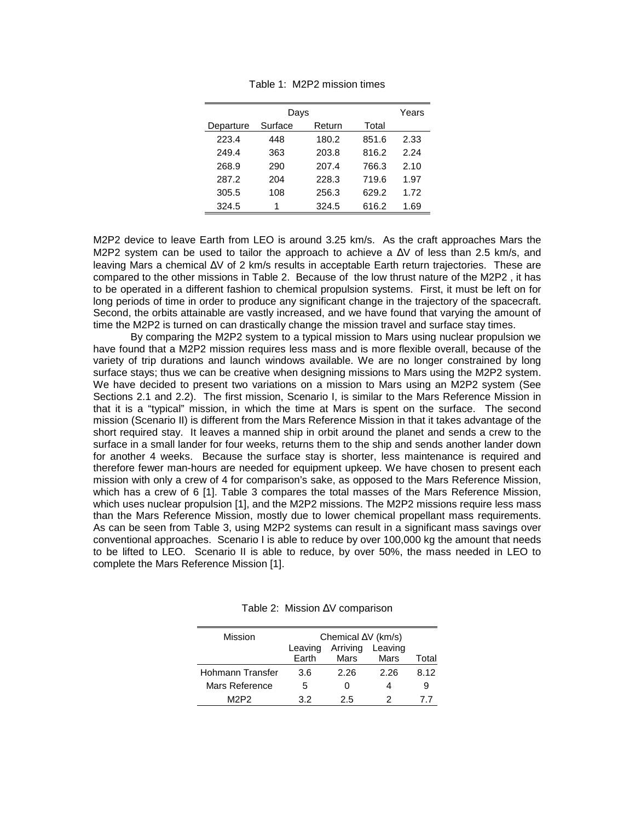| Days      |         |        |       |      |
|-----------|---------|--------|-------|------|
| Departure | Surface | Return | Total |      |
| 223.4     | 448     | 180.2  | 851.6 | 2.33 |
| 249.4     | 363     | 203.8  | 816.2 | 2.24 |
| 268.9     | 290     | 207.4  | 766.3 | 2.10 |
| 287.2     | 204     | 228.3  | 719.6 | 1.97 |
| 305.5     | 108     | 256.3  | 629.2 | 1.72 |
| 324.5     | 1       | 324.5  | 616.2 | 1.69 |

Table 1: M2P2 mission times

M2P2 device to leave Earth from LEO is around 3.25 km/s. As the craft approaches Mars the M2P2 system can be used to tailor the approach to achieve a ∆V of less than 2.5 km/s, and leaving Mars a chemical ∆V of 2 km/s results in acceptable Earth return trajectories. These are compared to the other missions in Table 2. Because of the low thrust nature of the M2P2 , it has to be operated in a different fashion to chemical propulsion systems. First, it must be left on for long periods of time in order to produce any significant change in the trajectory of the spacecraft. Second, the orbits attainable are vastly increased, and we have found that varying the amount of time the M2P2 is turned on can drastically change the mission travel and surface stay times.

By comparing the M2P2 system to a typical mission to Mars using nuclear propulsion we have found that a M2P2 mission requires less mass and is more flexible overall, because of the variety of trip durations and launch windows available. We are no longer constrained by long surface stays; thus we can be creative when designing missions to Mars using the M2P2 system. We have decided to present two variations on a mission to Mars using an M2P2 system (See Sections 2.1 and 2.2). The first mission, Scenario I, is similar to the Mars Reference Mission in that it is a "typical" mission, in which the time at Mars is spent on the surface. The second mission (Scenario II) is different from the Mars Reference Mission in that it takes advantage of the short required stay. It leaves a manned ship in orbit around the planet and sends a crew to the surface in a small lander for four weeks, returns them to the ship and sends another lander down for another 4 weeks. Because the surface stay is shorter, less maintenance is required and therefore fewer man-hours are needed for equipment upkeep. We have chosen to present each mission with only a crew of 4 for comparison's sake, as opposed to the Mars Reference Mission, which has a crew of 6 [1]. Table 3 compares the total masses of the Mars Reference Mission, which uses nuclear propulsion [1], and the M2P2 missions. The M2P2 missions require less mass than the Mars Reference Mission, mostly due to lower chemical propellant mass requirements. As can be seen from Table 3, using M2P2 systems can result in a significant mass savings over conventional approaches. Scenario I is able to reduce by over 100,000 kg the amount that needs to be lifted to LEO. Scenario II is able to reduce, by over 50%, the mass needed in LEO to complete the Mars Reference Mission [1].

| Mission          | Chemical $\Delta V$ (km/s) |          |         |       |
|------------------|----------------------------|----------|---------|-------|
|                  | Leaving                    | Arriving | Leaving |       |
|                  | <b>Earth</b>               | Mars     | Mars    | Total |
| Hohmann Transfer | 3.6                        | 2.26     | 2.26    | 8.12  |
| Mars Reference   | 5                          | O        |         |       |
| M2P2             | 32                         | 25       |         |       |

Table 2: Mission ∆V comparison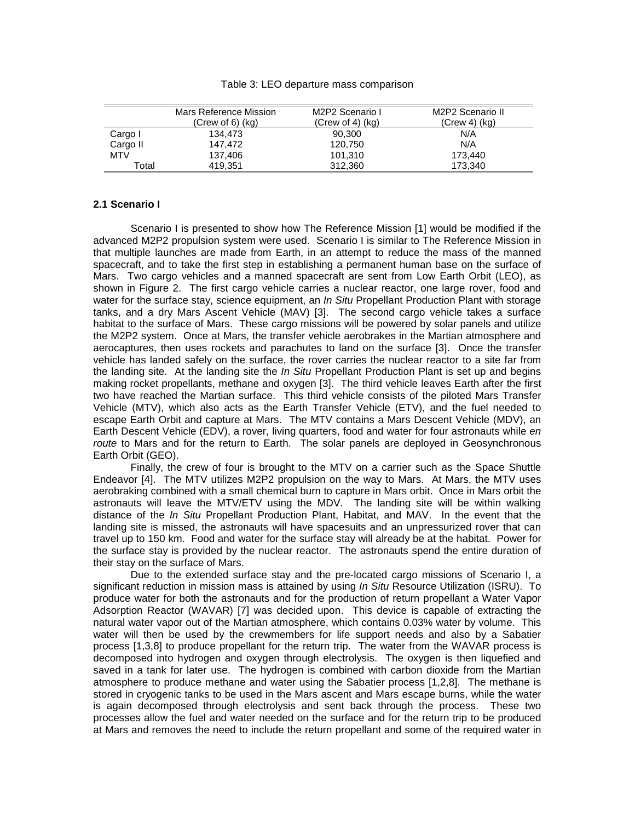#### Table 3: LEO departure mass comparison

|            | Mars Reference Mission<br>$(Crew of 6)$ $(kg)$ | M2P2 Scenario I<br>(Crew of 4) $(kg)$ | M2P2 Scenario II<br>$(Crew 4)$ (kg) |
|------------|------------------------------------------------|---------------------------------------|-------------------------------------|
| Cargo I    | 134.473                                        | 90,300                                | N/A                                 |
| Cargo II   | 147.472                                        | 120,750                               | N/A                                 |
| <b>MTV</b> | 137.406                                        | 101.310                               | 173.440                             |
| Total      | 419.351                                        | 312,360                               | 173.340                             |

#### **2.1 Scenario I**

Scenario I is presented to show how The Reference Mission [1] would be modified if the advanced M2P2 propulsion system were used. Scenario I is similar to The Reference Mission in that multiple launches are made from Earth, in an attempt to reduce the mass of the manned spacecraft, and to take the first step in establishing a permanent human base on the surface of Mars. Two cargo vehicles and a manned spacecraft are sent from Low Earth Orbit (LEO), as shown in Figure 2. The first cargo vehicle carries a nuclear reactor, one large rover, food and water for the surface stay, science equipment, an *In Situ* Propellant Production Plant with storage tanks, and a dry Mars Ascent Vehicle (MAV) [3]. The second cargo vehicle takes a surface habitat to the surface of Mars. These cargo missions will be powered by solar panels and utilize the M2P2 system. Once at Mars, the transfer vehicle aerobrakes in the Martian atmosphere and aerocaptures, then uses rockets and parachutes to land on the surface [3]. Once the transfer vehicle has landed safely on the surface, the rover carries the nuclear reactor to a site far from the landing site. At the landing site the In Situ Propellant Production Plant is set up and begins making rocket propellants, methane and oxygen [3]. The third vehicle leaves Earth after the first two have reached the Martian surface. This third vehicle consists of the piloted Mars Transfer Vehicle (MTV), which also acts as the Earth Transfer Vehicle (ETV), and the fuel needed to escape Earth Orbit and capture at Mars. The MTV contains a Mars Descent Vehicle (MDV), an Earth Descent Vehicle (EDV), a rover, living quarters, food and water for four astronauts while en route to Mars and for the return to Earth. The solar panels are deployed in Geosynchronous Earth Orbit (GEO).

Finally, the crew of four is brought to the MTV on a carrier such as the Space Shuttle Endeavor [4]. The MTV utilizes M2P2 propulsion on the way to Mars. At Mars, the MTV uses aerobraking combined with a small chemical burn to capture in Mars orbit. Once in Mars orbit the astronauts will leave the MTV/ETV using the MDV. The landing site will be within walking distance of the In Situ Propellant Production Plant, Habitat, and MAV. In the event that the landing site is missed, the astronauts will have spacesuits and an unpressurized rover that can travel up to 150 km. Food and water for the surface stay will already be at the habitat. Power for the surface stay is provided by the nuclear reactor. The astronauts spend the entire duration of their stay on the surface of Mars.

Due to the extended surface stay and the pre-located cargo missions of Scenario I, a significant reduction in mission mass is attained by using *In Situ* Resource Utilization (ISRU). To produce water for both the astronauts and for the production of return propellant a Water Vapor Adsorption Reactor (WAVAR) [7] was decided upon. This device is capable of extracting the natural water vapor out of the Martian atmosphere, which contains 0.03% water by volume. This water will then be used by the crewmembers for life support needs and also by a Sabatier process [1,3,8] to produce propellant for the return trip. The water from the WAVAR process is decomposed into hydrogen and oxygen through electrolysis. The oxygen is then liquefied and saved in a tank for later use. The hydrogen is combined with carbon dioxide from the Martian atmosphere to produce methane and water using the Sabatier process [1,2,8]. The methane is stored in cryogenic tanks to be used in the Mars ascent and Mars escape burns, while the water is again decomposed through electrolysis and sent back through the process. These two processes allow the fuel and water needed on the surface and for the return trip to be produced at Mars and removes the need to include the return propellant and some of the required water in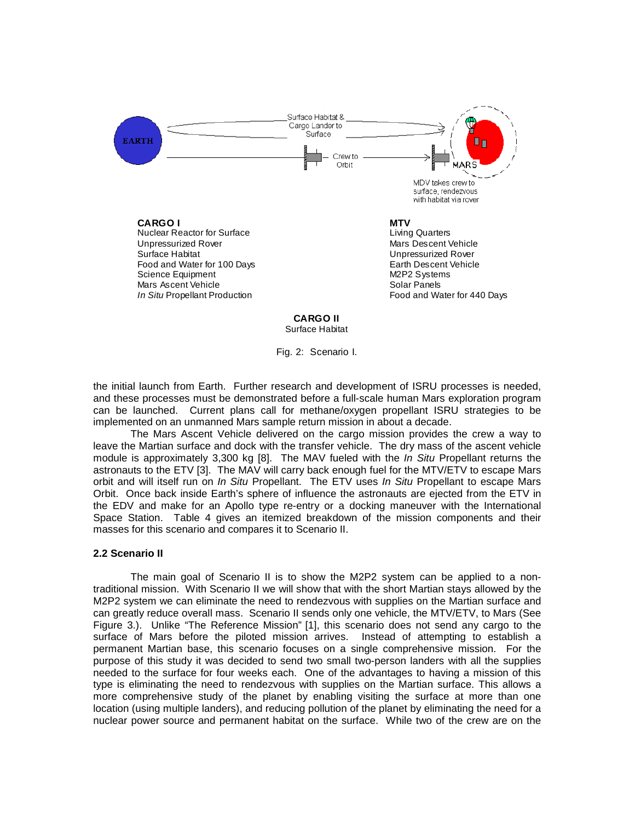

Fig. 2: Scenario I.

the initial launch from Earth. Further research and development of ISRU processes is needed, and these processes must be demonstrated before a full-scale human Mars exploration program can be launched. Current plans call for methane/oxygen propellant ISRU strategies to be implemented on an unmanned Mars sample return mission in about a decade.

The Mars Ascent Vehicle delivered on the cargo mission provides the crew a way to leave the Martian surface and dock with the transfer vehicle. The dry mass of the ascent vehicle module is approximately 3,300 kg [8]. The MAV fueled with the *In Situ Propellant returns the* astronauts to the ETV [3]. The MAV will carry back enough fuel for the MTV/ETV to escape Mars orbit and will itself run on In Situ Propellant. The ETV uses In Situ Propellant to escape Mars Orbit. Once back inside Earth's sphere of influence the astronauts are ejected from the ETV in the EDV and make for an Apollo type re-entry or a docking maneuver with the International Space Station. Table 4 gives an itemized breakdown of the mission components and their masses for this scenario and compares it to Scenario II.

#### **2.2 Scenario II**

 The main goal of Scenario II is to show the M2P2 system can be applied to a nontraditional mission. With Scenario II we will show that with the short Martian stays allowed by the M2P2 system we can eliminate the need to rendezvous with supplies on the Martian surface and can greatly reduce overall mass. Scenario II sends only one vehicle, the MTV/ETV, to Mars (See Figure 3.). Unlike "The Reference Mission" [1], this scenario does not send any cargo to the surface of Mars before the piloted mission arrives. Instead of attempting to establish a permanent Martian base, this scenario focuses on a single comprehensive mission. For the purpose of this study it was decided to send two small two-person landers with all the supplies needed to the surface for four weeks each. One of the advantages to having a mission of this type is eliminating the need to rendezvous with supplies on the Martian surface. This allows a more comprehensive study of the planet by enabling visiting the surface at more than one location (using multiple landers), and reducing pollution of the planet by eliminating the need for a nuclear power source and permanent habitat on the surface. While two of the crew are on the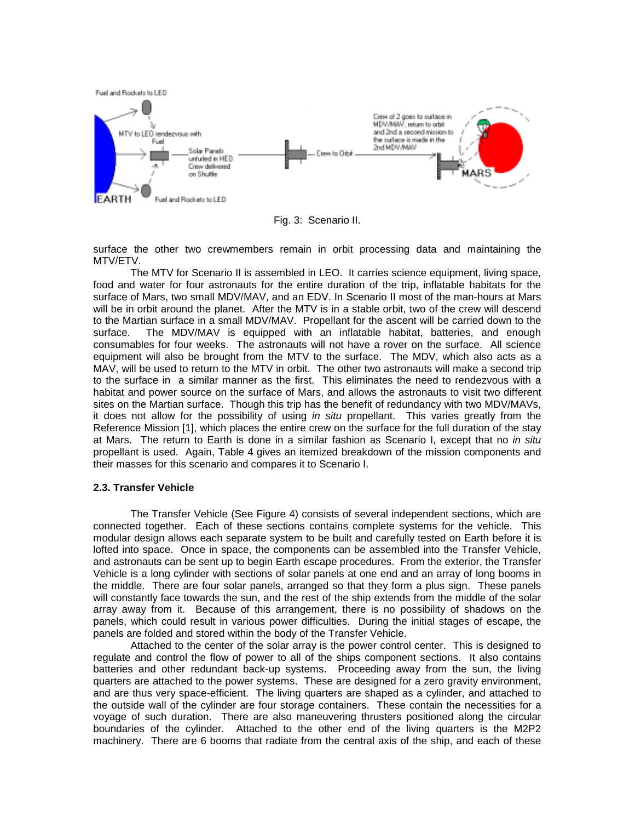

Fig. 3: Scenario II.

surface the other two crewmembers remain in orbit processing data and maintaining the MTV/ETV.

The MTV for Scenario II is assembled in LEO. It carries science equipment, living space, food and water for four astronauts for the entire duration of the trip, inflatable habitats for the surface of Mars, two small MDV/MAV, and an EDV. In Scenario II most of the man-hours at Mars will be in orbit around the planet. After the MTV is in a stable orbit, two of the crew will descend to the Martian surface in a small MDV/MAV. Propellant for the ascent will be carried down to the surface. The MDV/MAV is equipped with an inflatable habitat, batteries, and enough consumables for four weeks. The astronauts will not have a rover on the surface. All science equipment will also be brought from the MTV to the surface. The MDV, which also acts as a MAV, will be used to return to the MTV in orbit. The other two astronauts will make a second trip to the surface in a similar manner as the first. This eliminates the need to rendezvous with a habitat and power source on the surface of Mars, and allows the astronauts to visit two different sites on the Martian surface. Though this trip has the benefit of redundancy with two MDV/MAVs, it does not allow for the possibility of using in situ propellant. This varies greatly from the Reference Mission [1], which places the entire crew on the surface for the full duration of the stay at Mars. The return to Earth is done in a similar fashion as Scenario I, except that no in situ propellant is used. Again, Table 4 gives an itemized breakdown of the mission components and their masses for this scenario and compares it to Scenario I.

#### **2.3. Transfer Vehicle**

The Transfer Vehicle (See Figure 4) consists of several independent sections, which are connected together. Each of these sections contains complete systems for the vehicle. This modular design allows each separate system to be built and carefully tested on Earth before it is lofted into space. Once in space, the components can be assembled into the Transfer Vehicle, and astronauts can be sent up to begin Earth escape procedures. From the exterior, the Transfer Vehicle is a long cylinder with sections of solar panels at one end and an array of long booms in the middle. There are four solar panels, arranged so that they form a plus sign. These panels will constantly face towards the sun, and the rest of the ship extends from the middle of the solar array away from it. Because of this arrangement, there is no possibility of shadows on the panels, which could result in various power difficulties. During the initial stages of escape, the panels are folded and stored within the body of the Transfer Vehicle.

Attached to the center of the solar array is the power control center. This is designed to regulate and control the flow of power to all of the ships component sections. It also contains batteries and other redundant back-up systems. Proceeding away from the sun, the living quarters are attached to the power systems. These are designed for a zero gravity environment, and are thus very space-efficient. The living quarters are shaped as a cylinder, and attached to the outside wall of the cylinder are four storage containers. These contain the necessities for a voyage of such duration. There are also maneuvering thrusters positioned along the circular boundaries of the cylinder. Attached to the other end of the living quarters is the M2P2 machinery. There are 6 booms that radiate from the central axis of the ship, and each of these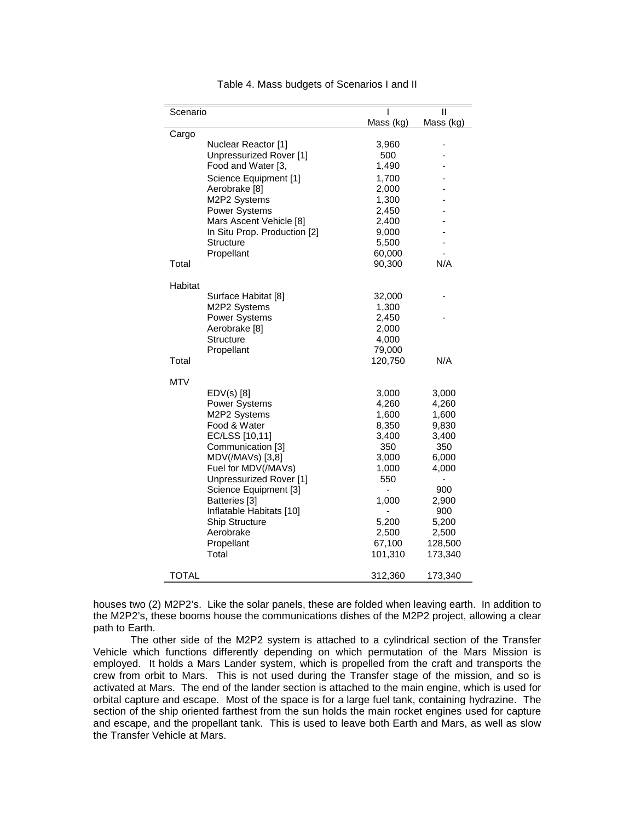| Scenario |                                           | ı              | Ш         |
|----------|-------------------------------------------|----------------|-----------|
|          |                                           | Mass (kg)      | Mass (kg) |
| Cargo    |                                           |                |           |
|          | Nuclear Reactor [1]                       | 3,960          |           |
|          | Unpressurized Rover [1]                   | 500            |           |
|          | Food and Water [3,                        | 1,490          |           |
|          | Science Equipment [1]                     | 1,700          |           |
|          | Aerobrake [8]                             | 2,000          |           |
|          | M2P2 Systems                              | 1,300          |           |
|          | Power Systems                             | 2,450          |           |
|          | Mars Ascent Vehicle [8]                   | 2,400          |           |
|          | In Situ Prop. Production [2]<br>Structure | 9,000<br>5,500 |           |
|          | Propellant                                | 60,000         |           |
| Total    |                                           | 90,300         | N/A       |
|          |                                           |                |           |
| Habitat  |                                           |                |           |
|          | Surface Habitat [8]                       | 32,000         |           |
|          | M2P2 Systems                              | 1,300          |           |
|          | <b>Power Systems</b>                      | 2,450          |           |
|          | Aerobrake [8]                             | 2,000          |           |
|          | Structure                                 | 4,000          |           |
|          | Propellant                                | 79,000         |           |
| Total    |                                           | 120,750        | N/A       |
| MTV      |                                           |                |           |
|          | $EDV(s)$ [8]                              | 3,000          | 3,000     |
|          | <b>Power Systems</b>                      | 4,260          | 4,260     |
|          | M2P2 Systems                              | 1,600          | 1,600     |
|          | Food & Water                              | 8,350          | 9,830     |
|          | EC/LSS [10,11]                            | 3,400          | 3,400     |
|          | Communication [3]                         | 350            | 350       |
|          | MDV(/MAVs) [3,8]                          | 3,000          | 6,000     |
|          | Fuel for MDV(/MAVs)                       | 1,000          | 4,000     |
|          | Unpressurized Rover [1]                   | 550            |           |
|          | Science Equipment [3]                     |                | 900       |
|          | Batteries [3]                             | 1,000          | 2,900     |
|          | Inflatable Habitats [10]                  |                | 900       |
|          | <b>Ship Structure</b>                     | 5,200          | 5,200     |
|          | Aerobrake                                 | 2,500          | 2,500     |
|          | Propellant<br>Total                       | 67,100         | 128,500   |
|          |                                           | 101,310        | 173,340   |
| TOTAL    |                                           | 312,360        | 173,340   |

Table 4. Mass budgets of Scenarios I and II

houses two (2) M2P2's. Like the solar panels, these are folded when leaving earth. In addition to the M2P2's, these booms house the communications dishes of the M2P2 project, allowing a clear path to Earth.

The other side of the M2P2 system is attached to a cylindrical section of the Transfer Vehicle which functions differently depending on which permutation of the Mars Mission is employed. It holds a Mars Lander system, which is propelled from the craft and transports the crew from orbit to Mars. This is not used during the Transfer stage of the mission, and so is activated at Mars. The end of the lander section is attached to the main engine, which is used for orbital capture and escape. Most of the space is for a large fuel tank, containing hydrazine. The section of the ship oriented farthest from the sun holds the main rocket engines used for capture and escape, and the propellant tank. This is used to leave both Earth and Mars, as well as slow the Transfer Vehicle at Mars.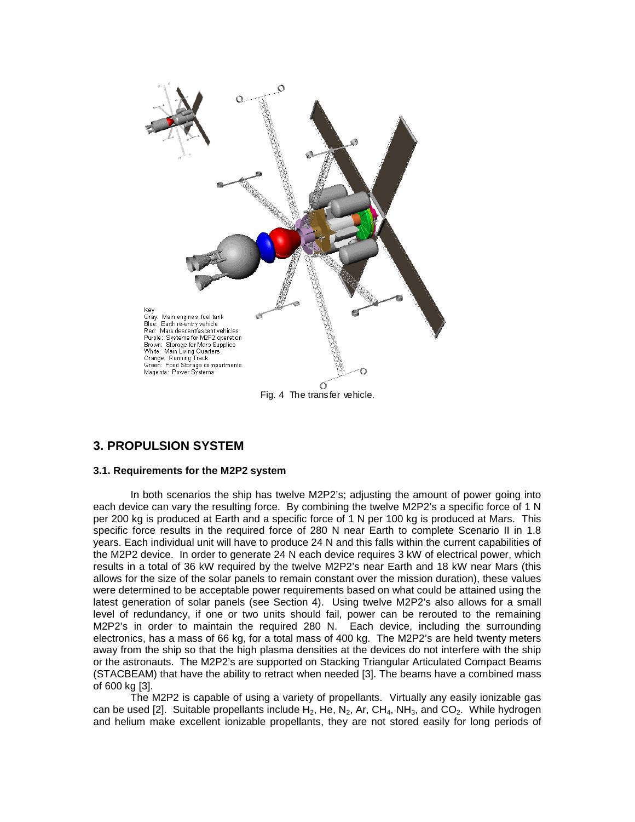

## **3. PROPULSION SYSTEM**

#### **3.1. Requirements for the M2P2 system**

In both scenarios the ship has twelve M2P2's; adjusting the amount of power going into each device can vary the resulting force. By combining the twelve M2P2's a specific force of 1 N per 200 kg is produced at Earth and a specific force of 1 N per 100 kg is produced at Mars. This specific force results in the required force of 280 N near Earth to complete Scenario II in 1.8 years. Each individual unit will have to produce 24 N and this falls within the current capabilities of the M2P2 device. In order to generate 24 N each device requires 3 kW of electrical power, which results in a total of 36 kW required by the twelve M2P2's near Earth and 18 kW near Mars (this allows for the size of the solar panels to remain constant over the mission duration), these values were determined to be acceptable power requirements based on what could be attained using the latest generation of solar panels (see Section 4). Using twelve M2P2's also allows for a small level of redundancy, if one or two units should fail, power can be rerouted to the remaining M2P2's in order to maintain the required 280 N. Each device, including the surrounding electronics, has a mass of 66 kg, for a total mass of 400 kg. The M2P2's are held twenty meters away from the ship so that the high plasma densities at the devices do not interfere with the ship or the astronauts. The M2P2's are supported on Stacking Triangular Articulated Compact Beams (STACBEAM) that have the ability to retract when needed [3]. The beams have a combined mass of 600 kg [3].

The M2P2 is capable of using a variety of propellants. Virtually any easily ionizable gas can be used [2]. Suitable propellants include  $H_2$ , He, N<sub>2</sub>, Ar, CH<sub>4</sub>, NH<sub>3</sub>, and CO<sub>2</sub>. While hydrogen and helium make excellent ionizable propellants, they are not stored easily for long periods of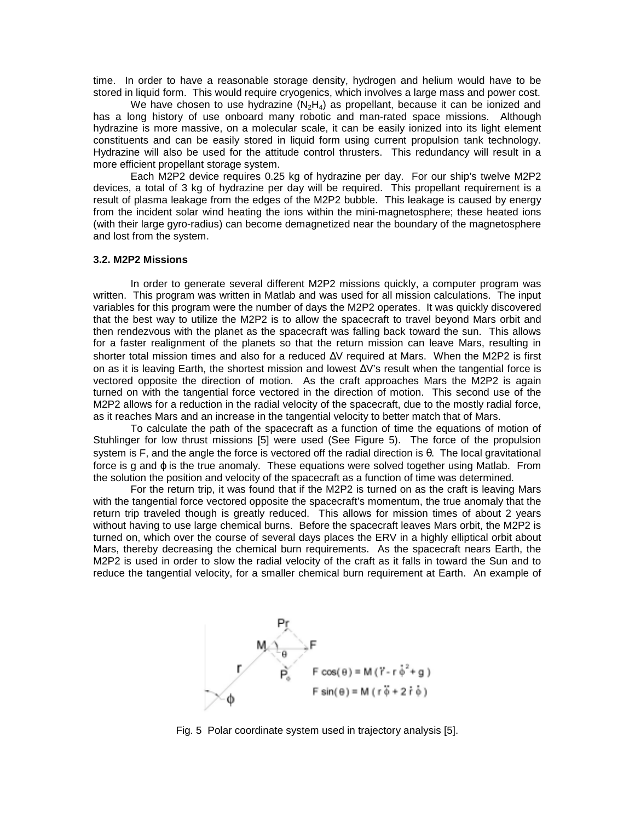time. In order to have a reasonable storage density, hydrogen and helium would have to be stored in liquid form. This would require cryogenics, which involves a large mass and power cost.

We have chosen to use hydrazine  $(N_2H_4)$  as propellant, because it can be ionized and has a long history of use onboard many robotic and man-rated space missions. Although hydrazine is more massive, on a molecular scale, it can be easily ionized into its light element constituents and can be easily stored in liquid form using current propulsion tank technology. Hydrazine will also be used for the attitude control thrusters. This redundancy will result in a more efficient propellant storage system.

Each M2P2 device requires 0.25 kg of hydrazine per day. For our ship's twelve M2P2 devices, a total of 3 kg of hydrazine per day will be required. This propellant requirement is a result of plasma leakage from the edges of the M2P2 bubble. This leakage is caused by energy from the incident solar wind heating the ions within the mini-magnetosphere; these heated ions (with their large gyro-radius) can become demagnetized near the boundary of the magnetosphere and lost from the system.

#### **3.2. M2P2 Missions**

 In order to generate several different M2P2 missions quickly, a computer program was written. This program was written in Matlab and was used for all mission calculations. The input variables for this program were the number of days the M2P2 operates. It was quickly discovered that the best way to utilize the M2P2 is to allow the spacecraft to travel beyond Mars orbit and then rendezvous with the planet as the spacecraft was falling back toward the sun. This allows for a faster realignment of the planets so that the return mission can leave Mars, resulting in shorter total mission times and also for a reduced ∆V required at Mars. When the M2P2 is first on as it is leaving Earth, the shortest mission and lowest ∆V's result when the tangential force is vectored opposite the direction of motion. As the craft approaches Mars the M2P2 is again turned on with the tangential force vectored in the direction of motion. This second use of the M2P2 allows for a reduction in the radial velocity of the spacecraft, due to the mostly radial force, as it reaches Mars and an increase in the tangential velocity to better match that of Mars.

 To calculate the path of the spacecraft as a function of time the equations of motion of Stuhlinger for low thrust missions [5] were used (See Figure 5). The force of the propulsion system is F, and the angle the force is vectored off the radial direction is θ. The local gravitational force is g and  $\varphi$  is the true anomaly. These equations were solved together using Matlab. From the solution the position and velocity of the spacecraft as a function of time was determined.

 For the return trip, it was found that if the M2P2 is turned on as the craft is leaving Mars with the tangential force vectored opposite the spacecraft's momentum, the true anomaly that the return trip traveled though is greatly reduced. This allows for mission times of about 2 years without having to use large chemical burns. Before the spacecraft leaves Mars orbit, the M2P2 is turned on, which over the course of several days places the ERV in a highly elliptical orbit about Mars, thereby decreasing the chemical burn requirements. As the spacecraft nears Earth, the M2P2 is used in order to slow the radial velocity of the craft as it falls in toward the Sun and to reduce the tangential velocity, for a smaller chemical burn requirement at Earth. An example of



Fig. 5 Polar coordinate system used in trajectory analysis [5].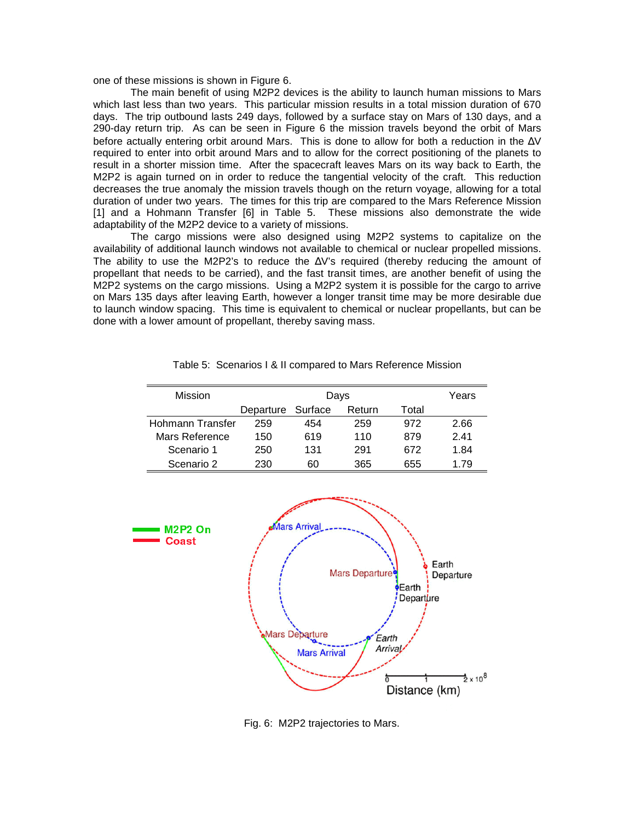one of these missions is shown in Figure 6.

The main benefit of using M2P2 devices is the ability to launch human missions to Mars which last less than two years. This particular mission results in a total mission duration of 670 days. The trip outbound lasts 249 days, followed by a surface stay on Mars of 130 days, and a 290-day return trip. As can be seen in Figure 6 the mission travels beyond the orbit of Mars before actually entering orbit around Mars. This is done to allow for both a reduction in the ∆V required to enter into orbit around Mars and to allow for the correct positioning of the planets to result in a shorter mission time. After the spacecraft leaves Mars on its way back to Earth, the M2P2 is again turned on in order to reduce the tangential velocity of the craft. This reduction decreases the true anomaly the mission travels though on the return voyage, allowing for a total duration of under two years. The times for this trip are compared to the Mars Reference Mission [1] and a Hohmann Transfer [6] in Table 5. These missions also demonstrate the wide adaptability of the M2P2 device to a variety of missions.

 The cargo missions were also designed using M2P2 systems to capitalize on the availability of additional launch windows not available to chemical or nuclear propelled missions. The ability to use the M2P2's to reduce the ∆V's required (thereby reducing the amount of propellant that needs to be carried), and the fast transit times, are another benefit of using the M2P2 systems on the cargo missions. Using a M2P2 system it is possible for the cargo to arrive on Mars 135 days after leaving Earth, however a longer transit time may be more desirable due to launch window spacing. This time is equivalent to chemical or nuclear propellants, but can be done with a lower amount of propellant, thereby saving mass.

| <b>Mission</b>   | Days              |     |        | Years |      |
|------------------|-------------------|-----|--------|-------|------|
|                  | Departure Surface |     | Return | Total |      |
| Hohmann Transfer | 259               | 454 | 259    | 972   | 2.66 |
| Mars Reference   | 150               | 619 | 110    | 879   | 241  |
| Scenario 1       | 250               | 131 | 291    | 672   | 1.84 |
| Scenario 2       | 230               | 60  | 365    | 655   | 1.79 |

Table 5: Scenarios I & II compared to Mars Reference Mission



Fig. 6: M2P2 trajectories to Mars.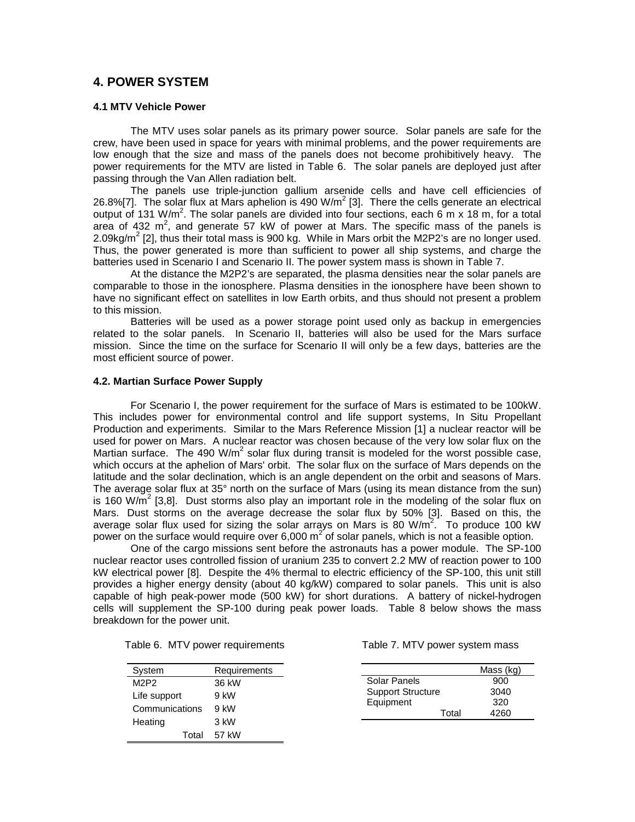# **4. POWER SYSTEM**

#### **4.1 MTV Vehicle Power**

The MTV uses solar panels as its primary power source. Solar panels are safe for the crew, have been used in space for years with minimal problems, and the power requirements are low enough that the size and mass of the panels does not become prohibitively heavy. The power requirements for the MTV are listed in Table 6. The solar panels are deployed just after passing through the Van Allen radiation belt.

The panels use triple-junction gallium arsenide cells and have cell efficiencies of 26.8%[7]. The solar flux at Mars aphelion is 490 W/m<sup>2</sup> [3]. There the cells generate an electrical output of 131 W/m<sup>2</sup>. The solar panels are divided into four sections, each  $6 \text{ m} \times 18 \text{ m}$ , for a total area of 432 m<sup>2</sup>, and generate 57 kW of power at Mars. The specific mass of the panels is 2.09kg/m<sup>2</sup> [2], thus their total mass is 900 kg. While in Mars orbit the M2P2's are no longer used. Thus, the power generated is more than sufficient to power all ship systems, and charge the batteries used in Scenario I and Scenario II. The power system mass is shown in Table 7.

At the distance the M2P2's are separated, the plasma densities near the solar panels are comparable to those in the ionosphere. Plasma densities in the ionosphere have been shown to have no significant effect on satellites in low Earth orbits, and thus should not present a problem to this mission.

Batteries will be used as a power storage point used only as backup in emergencies related to the solar panels. In Scenario II, batteries will also be used for the Mars surface mission. Since the time on the surface for Scenario II will only be a few days, batteries are the most efficient source of power.

#### **4.2. Martian Surface Power Supply**

For Scenario I, the power requirement for the surface of Mars is estimated to be 100kW. This includes power for environmental control and life support systems, In Situ Propellant Production and experiments. Similar to the Mars Reference Mission [1] a nuclear reactor will be used for power on Mars. A nuclear reactor was chosen because of the very low solar flux on the Martian surface. The 490 W/m<sup>2</sup> solar flux during transit is modeled for the worst possible case, which occurs at the aphelion of Mars' orbit. The solar flux on the surface of Mars depends on the latitude and the solar declination, which is an angle dependent on the orbit and seasons of Mars. The average solar flux at 35° north on the surface of Mars (using its mean distance from the sun) is 160 W/m<sup>2</sup> [3,8]. Dust storms also play an important role in the modeling of the solar flux on Mars. Dust storms on the average decrease the solar flux by 50% [3]. Based on this, the average solar flux used for sizing the solar arrays on Mars is 80 W/m<sup>2</sup>. To produce 100 kW power on the surface would require over 6,000  $m^2$  of solar panels, which is not a feasible option.

One of the cargo missions sent before the astronauts has a power module. The SP-100 nuclear reactor uses controlled fission of uranium 235 to convert 2.2 MW of reaction power to 100 kW electrical power [8]. Despite the 4% thermal to electric efficiency of the SP-100, this unit still provides a higher energy density (about 40 kg/kW) compared to solar panels. This unit is also capable of high peak-power mode (500 kW) for short durations. A battery of nickel-hydrogen cells will supplement the SP-100 during peak power loads. Table 8 below shows the mass breakdown for the power unit.

|  |  |  | Table 6. MTV power requirements |
|--|--|--|---------------------------------|
|--|--|--|---------------------------------|

| System         | Requirements |
|----------------|--------------|
| M2P2           | 36 kW        |
| Life support   | 9 kW         |
| Communications | 9 kW         |
| Heating        | 3 kW         |
| Total          | 57 kW        |

Table 7. MTV power system mass

|                          |       | Mass (kg) |
|--------------------------|-------|-----------|
| Solar Panels             |       | 900       |
| <b>Support Structure</b> |       | 3040      |
| Equipment                |       | 320       |
|                          | Total | 4260      |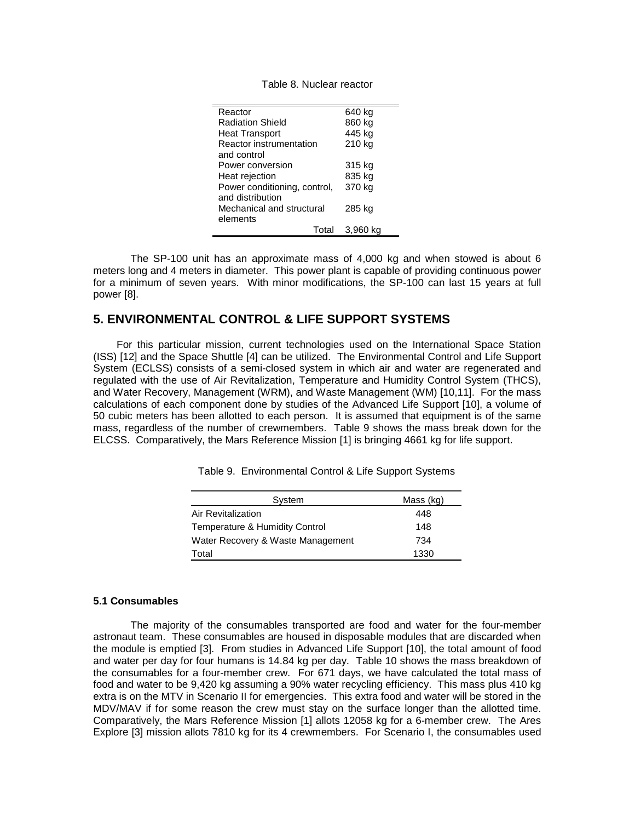Table 8. Nuclear reactor

| Reactor                      | 640 kg   |
|------------------------------|----------|
| <b>Radiation Shield</b>      | 860 kg   |
| <b>Heat Transport</b>        | 445 kg   |
| Reactor instrumentation      | 210 kg   |
| and control                  |          |
| Power conversion             | 315 kg   |
| Heat rejection               | 835 kg   |
| Power conditioning, control, | 370 kg   |
| and distribution             |          |
| Mechanical and structural    | 285 kg   |
| elements                     |          |
| Total                        | 3,960 kg |

The SP-100 unit has an approximate mass of 4,000 kg and when stowed is about 6 meters long and 4 meters in diameter. This power plant is capable of providing continuous power for a minimum of seven years. With minor modifications, the SP-100 can last 15 years at full power [8].

### **5. ENVIRONMENTAL CONTROL & LIFE SUPPORT SYSTEMS**

For this particular mission, current technologies used on the International Space Station (ISS) [12] and the Space Shuttle [4] can be utilized. The Environmental Control and Life Support System (ECLSS) consists of a semi-closed system in which air and water are regenerated and regulated with the use of Air Revitalization, Temperature and Humidity Control System (THCS), and Water Recovery, Management (WRM), and Waste Management (WM) [10,11]. For the mass calculations of each component done by studies of the Advanced Life Support [10], a volume of 50 cubic meters has been allotted to each person. It is assumed that equipment is of the same mass, regardless of the number of crewmembers. Table 9 shows the mass break down for the ELCSS. Comparatively, the Mars Reference Mission [1] is bringing 4661 kg for life support.

| System                            | Mass (kg) |
|-----------------------------------|-----------|
| Air Revitalization                | 448       |
| Temperature & Humidity Control    | 148       |
| Water Recovery & Waste Management | 734       |
| Total                             | 1330      |

Table 9. Environmental Control & Life Support Systems

#### **5.1 Consumables**

 The majority of the consumables transported are food and water for the four-member astronaut team. These consumables are housed in disposable modules that are discarded when the module is emptied [3]. From studies in Advanced Life Support [10], the total amount of food and water per day for four humans is 14.84 kg per day. Table 10 shows the mass breakdown of the consumables for a four-member crew. For 671 days, we have calculated the total mass of food and water to be 9,420 kg assuming a 90% water recycling efficiency. This mass plus 410 kg extra is on the MTV in Scenario II for emergencies. This extra food and water will be stored in the MDV/MAV if for some reason the crew must stay on the surface longer than the allotted time. Comparatively, the Mars Reference Mission [1] allots 12058 kg for a 6-member crew. The Ares Explore [3] mission allots 7810 kg for its 4 crewmembers. For Scenario I, the consumables used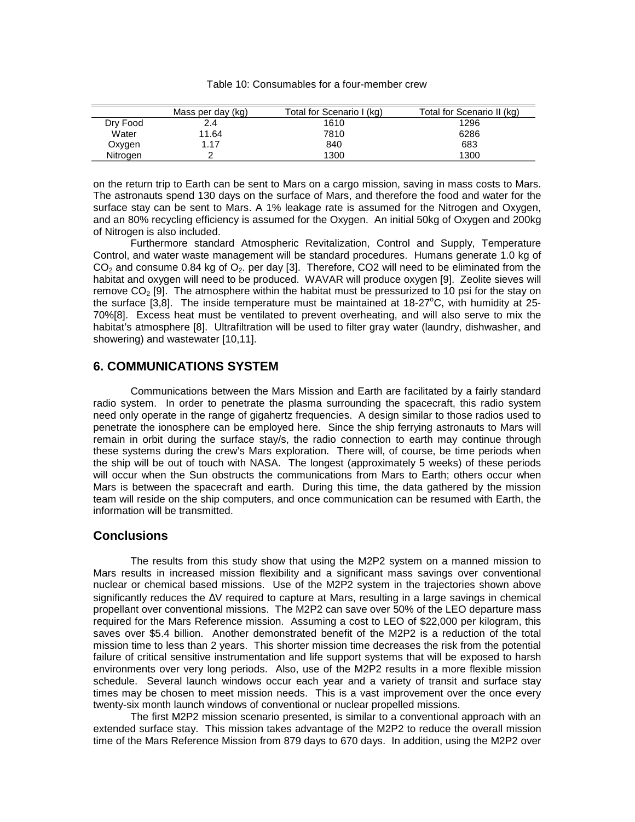| Table 10: Consumables for a four-member crew |  |
|----------------------------------------------|--|
|----------------------------------------------|--|

|          | Mass per day (kg) | Total for Scenario I (kg) | Total for Scenario II (kg) |
|----------|-------------------|---------------------------|----------------------------|
| Dry Food | 2.4               | 1610                      | 1296                       |
| Water    | 11.64             | 7810                      | 6286                       |
| Oxygen   | 1.17              | 840                       | 683                        |
| Nitrogen |                   | 1300                      | 1300                       |

on the return trip to Earth can be sent to Mars on a cargo mission, saving in mass costs to Mars. The astronauts spend 130 days on the surface of Mars, and therefore the food and water for the surface stay can be sent to Mars. A 1% leakage rate is assumed for the Nitrogen and Oxygen, and an 80% recycling efficiency is assumed for the Oxygen. An initial 50kg of Oxygen and 200kg of Nitrogen is also included.

 Furthermore standard Atmospheric Revitalization, Control and Supply, Temperature Control, and water waste management will be standard procedures. Humans generate 1.0 kg of  $CO<sub>2</sub>$  and consume 0.84 kg of  $O<sub>2</sub>$ . per day [3]. Therefore, CO2 will need to be eliminated from the habitat and oxygen will need to be produced. WAVAR will produce oxygen [9]. Zeolite sieves will remove  $CO<sub>2</sub>$  [9]. The atmosphere within the habitat must be pressurized to 10 psi for the stay on the surface  $[3,8]$ . The inside temperature must be maintained at 18-27°C, with humidity at 25-70%[8]. Excess heat must be ventilated to prevent overheating, and will also serve to mix the habitat's atmosphere [8]. Ultrafiltration will be used to filter gray water (laundry, dishwasher, and showering) and wastewater [10,11].

### **6. COMMUNICATIONS SYSTEM**

 Communications between the Mars Mission and Earth are facilitated by a fairly standard radio system. In order to penetrate the plasma surrounding the spacecraft, this radio system need only operate in the range of gigahertz frequencies. A design similar to those radios used to penetrate the ionosphere can be employed here. Since the ship ferrying astronauts to Mars will remain in orbit during the surface stay/s, the radio connection to earth may continue through these systems during the crew's Mars exploration. There will, of course, be time periods when the ship will be out of touch with NASA. The longest (approximately 5 weeks) of these periods will occur when the Sun obstructs the communications from Mars to Earth; others occur when Mars is between the spacecraft and earth. During this time, the data gathered by the mission team will reside on the ship computers, and once communication can be resumed with Earth, the information will be transmitted.

### **Conclusions**

 The results from this study show that using the M2P2 system on a manned mission to Mars results in increased mission flexibility and a significant mass savings over conventional nuclear or chemical based missions. Use of the M2P2 system in the trajectories shown above significantly reduces the ∆V required to capture at Mars, resulting in a large savings in chemical propellant over conventional missions. The M2P2 can save over 50% of the LEO departure mass required for the Mars Reference mission. Assuming a cost to LEO of \$22,000 per kilogram, this saves over \$5.4 billion. Another demonstrated benefit of the M2P2 is a reduction of the total mission time to less than 2 years. This shorter mission time decreases the risk from the potential failure of critical sensitive instrumentation and life support systems that will be exposed to harsh environments over very long periods. Also, use of the M2P2 results in a more flexible mission schedule. Several launch windows occur each year and a variety of transit and surface stay times may be chosen to meet mission needs. This is a vast improvement over the once every twenty-six month launch windows of conventional or nuclear propelled missions.

The first M2P2 mission scenario presented, is similar to a conventional approach with an extended surface stay. This mission takes advantage of the M2P2 to reduce the overall mission time of the Mars Reference Mission from 879 days to 670 days. In addition, using the M2P2 over